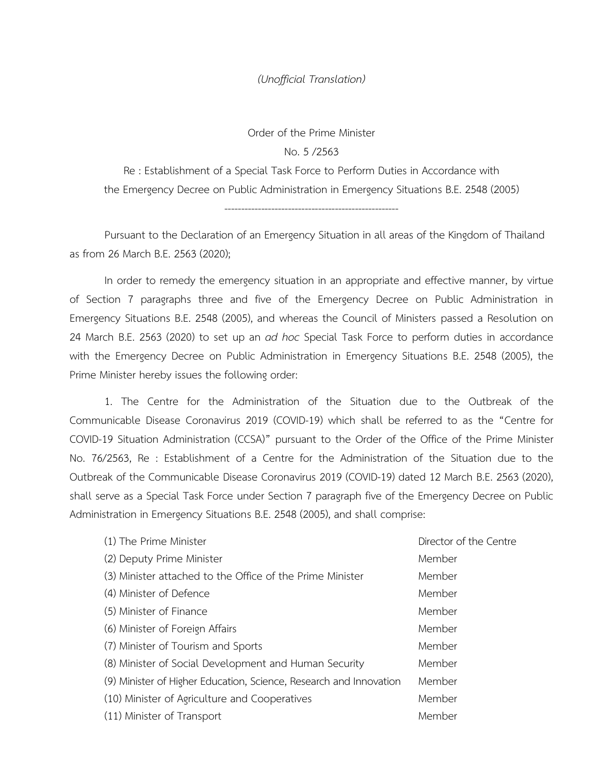## *(Unofficial Translation)*

Order of the Prime Minister

## No. 5 /2563

Re : Establishment of a Special Task Force to Perform Duties in Accordance with the Emergency Decree on Public Administration in Emergency Situations B.E. 2548 (2005)

----------------------------------------------------

Pursuant to the Declaration of an Emergency Situation in all areas of the Kingdom of Thailand as from 26 March B.E. 2563 (2020);

In order to remedy the emergency situation in an appropriate and effective manner, by virtue of Section 7 paragraphs three and five of the Emergency Decree on Public Administration in Emergency Situations B.E. 2548 (2005), and whereas the Council of Ministers passed a Resolution on 24 March B.E. 2563 (2020) to set up an *ad hoc* Special Task Force to perform duties in accordance with the Emergency Decree on Public Administration in Emergency Situations B.E. 2548 (2005), the Prime Minister hereby issues the following order:

1. The Centre for the Administration of the Situation due to the Outbreak of the Communicable Disease Coronavirus 2019 (COVID-19) which shall be referred to as the "Centre for COVID-19 Situation Administration (CCSA)" pursuant to the Order of the Office of the Prime Minister No. 76/2563, Re : Establishment of a Centre for the Administration of the Situation due to the Outbreak of the Communicable Disease Coronavirus 2019 (COVID-19) dated 12 March B.E. 2563 (2020), shall serve as a Special Task Force under Section 7 paragraph five of the Emergency Decree on Public Administration in Emergency Situations B.E. 2548 (2005), and shall comprise:

| (1) The Prime Minister                                             | Director of the Centre |
|--------------------------------------------------------------------|------------------------|
| (2) Deputy Prime Minister                                          | Member                 |
| (3) Minister attached to the Office of the Prime Minister          | Member                 |
| (4) Minister of Defence                                            | Member                 |
| (5) Minister of Finance                                            | Member                 |
| (6) Minister of Foreign Affairs                                    | Member                 |
| (7) Minister of Tourism and Sports                                 | Member                 |
| (8) Minister of Social Development and Human Security              | Member                 |
| (9) Minister of Higher Education, Science, Research and Innovation | Member                 |
| (10) Minister of Agriculture and Cooperatives                      | Member                 |
| (11) Minister of Transport                                         | Member                 |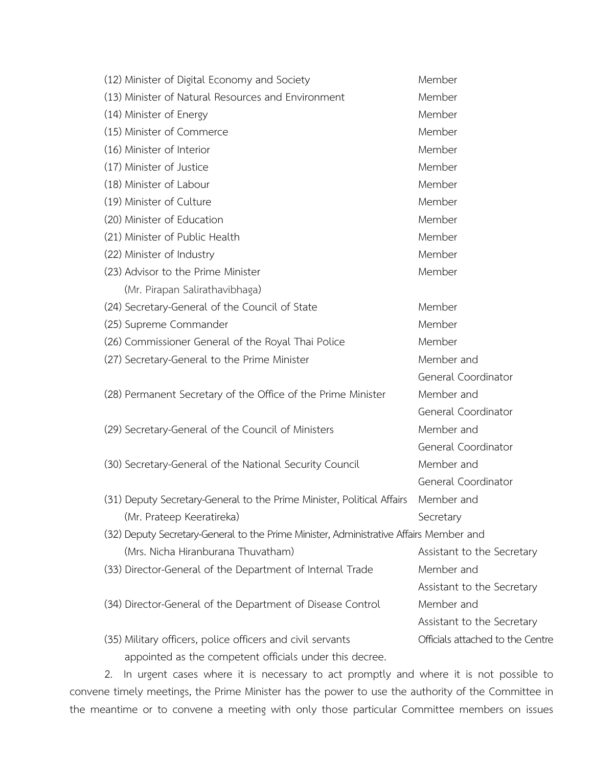| (12) Minister of Digital Economy and Society                                           | Member                           |
|----------------------------------------------------------------------------------------|----------------------------------|
| (13) Minister of Natural Resources and Environment                                     | Member                           |
| (14) Minister of Energy                                                                | Member                           |
| (15) Minister of Commerce                                                              | Member                           |
| (16) Minister of Interior                                                              | Member                           |
| (17) Minister of Justice                                                               | Member                           |
| (18) Minister of Labour                                                                | Member                           |
| (19) Minister of Culture                                                               | Member                           |
| (20) Minister of Education                                                             | Member                           |
| (21) Minister of Public Health                                                         | Member                           |
| (22) Minister of Industry                                                              | Member                           |
| (23) Advisor to the Prime Minister                                                     | Member                           |
| (Mr. Pirapan Salirathavibhaga)                                                         |                                  |
| (24) Secretary-General of the Council of State                                         | Member                           |
| (25) Supreme Commander                                                                 | Member                           |
| (26) Commissioner General of the Royal Thai Police                                     | Member                           |
| (27) Secretary-General to the Prime Minister                                           | Member and                       |
|                                                                                        | General Coordinator              |
| (28) Permanent Secretary of the Office of the Prime Minister                           | Member and                       |
|                                                                                        | General Coordinator              |
| (29) Secretary-General of the Council of Ministers                                     | Member and                       |
|                                                                                        | General Coordinator              |
| (30) Secretary-General of the National Security Council                                | Member and                       |
|                                                                                        | General Coordinator              |
| (31) Deputy Secretary-General to the Prime Minister, Political Affairs                 | Member and                       |
| (Mr. Prateep Keeratireka)                                                              | Secretary                        |
| (32) Deputy Secretary-General to the Prime Minister, Administrative Affairs Member and |                                  |
| (Mrs. Nicha Hiranburana Thuvatham)                                                     | Assistant to the Secretary       |
| (33) Director-General of the Department of Internal Trade                              | Member and                       |
|                                                                                        | Assistant to the Secretary       |
| (34) Director-General of the Department of Disease Control                             | Member and                       |
|                                                                                        | Assistant to the Secretary       |
| (35) Military officers, police officers and civil servants                             | Officials attached to the Centre |
| appointed as the competent officials under this decree.                                |                                  |

2. In urgent cases where it is necessary to act promptly and where it is not possible to convene timely meetings, the Prime Minister has the power to use the authority of the Committee in the meantime or to convene a meeting with only those particular Committee members on issues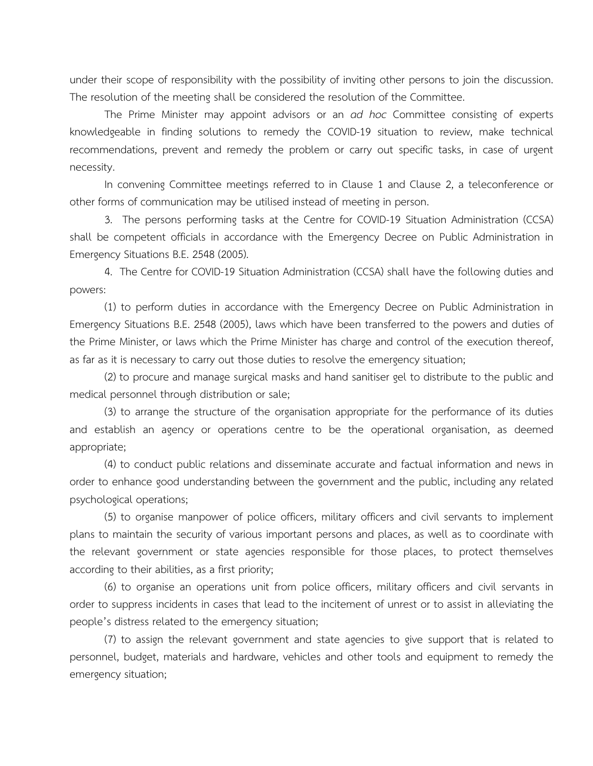under their scope of responsibility with the possibility of inviting other persons to join the discussion. The resolution of the meeting shall be considered the resolution of the Committee.

The Prime Minister may appoint advisors or an *ad hoc* Committee consisting of experts knowledgeable in finding solutions to remedy the COVID-19 situation to review, make technical recommendations, prevent and remedy the problem or carry out specific tasks, in case of urgent necessity.

In convening Committee meetings referred to in Clause 1 and Clause 2, a teleconference or other forms of communication may be utilised instead of meeting in person.

3. The persons performing tasks at the Centre for COVID-19 Situation Administration (CCSA) shall be competent officials in accordance with the Emergency Decree on Public Administration in Emergency Situations B.E. 2548 (2005).

4. The Centre for COVID-19 Situation Administration (CCSA) shall have the following duties and powers:

(1) to perform duties in accordance with the Emergency Decree on Public Administration in Emergency Situations B.E. 2548 (2005), laws which have been transferred to the powers and duties of the Prime Minister, or laws which the Prime Minister has charge and control of the execution thereof, as far as it is necessary to carry out those duties to resolve the emergency situation;

(2) to procure and manage surgical masks and hand sanitiser gel to distribute to the public and medical personnel through distribution or sale;

(3) to arrange the structure of the organisation appropriate for the performance of its duties and establish an agency or operations centre to be the operational organisation, as deemed appropriate;

(4) to conduct public relations and disseminate accurate and factual information and news in order to enhance good understanding between the government and the public, including any related psychological operations;

(5) to organise manpower of police officers, military officers and civil servants to implement plans to maintain the security of various important persons and places, as well as to coordinate with the relevant government or state agencies responsible for those places, to protect themselves according to their abilities, as a first priority;

(6) to organise an operations unit from police officers, military officers and civil servants in order to suppress incidents in cases that lead to the incitement of unrest or to assist in alleviating the people's distress related to the emergency situation;

(7) to assign the relevant government and state agencies to give support that is related to personnel, budget, materials and hardware, vehicles and other tools and equipment to remedy the emergency situation;